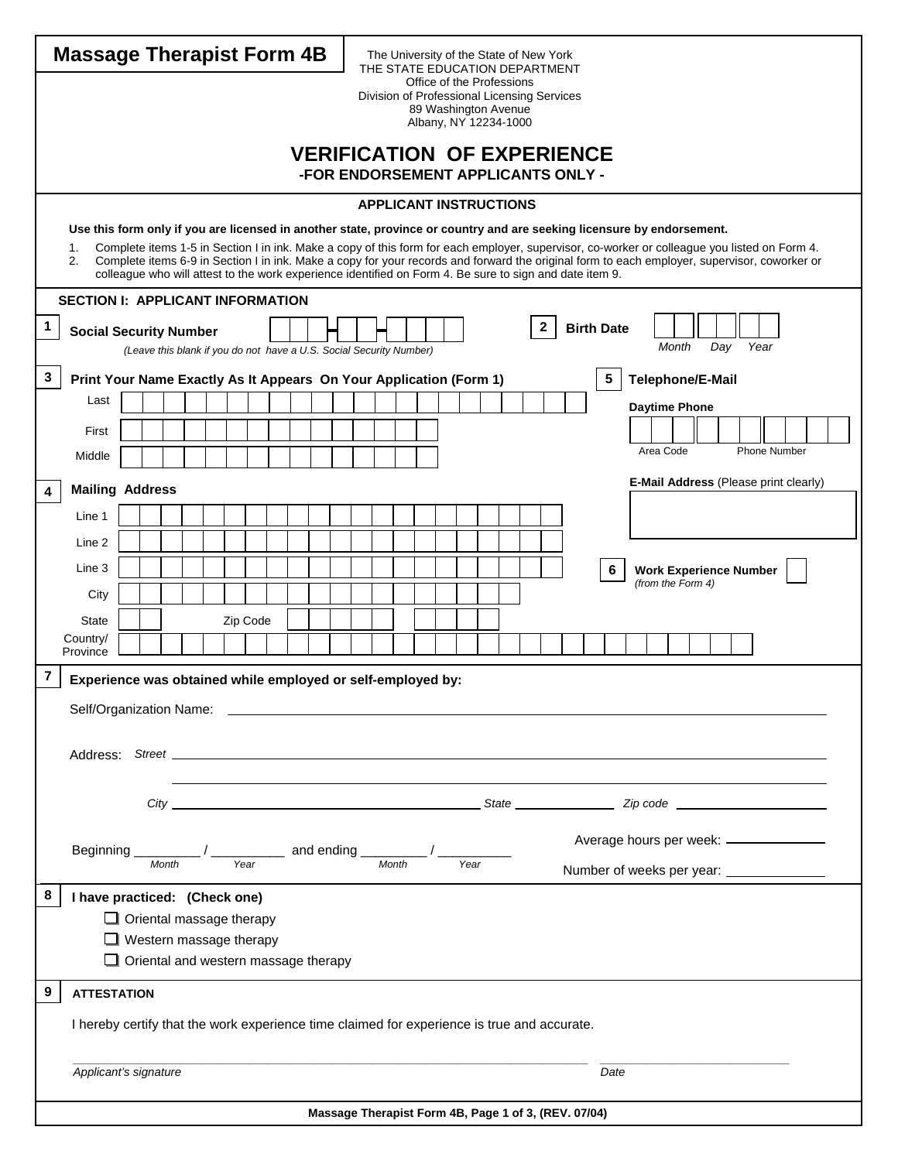| <b>Massage Therapist Form 4B</b><br>The University of the State of New York<br>THE STATE EDUCATION DEPARTMENT                                                                                                                                                                                                                                                                                                                                                                                            |                                                                                                         |  |  |  |  |  |  |
|----------------------------------------------------------------------------------------------------------------------------------------------------------------------------------------------------------------------------------------------------------------------------------------------------------------------------------------------------------------------------------------------------------------------------------------------------------------------------------------------------------|---------------------------------------------------------------------------------------------------------|--|--|--|--|--|--|
| Office of the Professions<br>Division of Professional Licensing Services                                                                                                                                                                                                                                                                                                                                                                                                                                 |                                                                                                         |  |  |  |  |  |  |
| 89 Washington Avenue<br>Albany, NY 12234-1000                                                                                                                                                                                                                                                                                                                                                                                                                                                            |                                                                                                         |  |  |  |  |  |  |
| <b>VERIFICATION OF EXPERIENCE</b>                                                                                                                                                                                                                                                                                                                                                                                                                                                                        |                                                                                                         |  |  |  |  |  |  |
| -FOR ENDORSEMENT APPLICANTS ONLY -                                                                                                                                                                                                                                                                                                                                                                                                                                                                       |                                                                                                         |  |  |  |  |  |  |
| <b>APPLICANT INSTRUCTIONS</b>                                                                                                                                                                                                                                                                                                                                                                                                                                                                            |                                                                                                         |  |  |  |  |  |  |
| Use this form only if you are licensed in another state, province or country and are seeking licensure by endorsement.                                                                                                                                                                                                                                                                                                                                                                                   |                                                                                                         |  |  |  |  |  |  |
| Complete items 1-5 in Section I in ink. Make a copy of this form for each employer, supervisor, co-worker or colleague you listed on Form 4.<br>1.<br>Complete items 6-9 in Section I in ink. Make a copy for your records and forward the original form to each employer, supervisor, coworker or<br>2.                                                                                                                                                                                                 |                                                                                                         |  |  |  |  |  |  |
| <b>SECTION I: APPLICANT INFORMATION</b>                                                                                                                                                                                                                                                                                                                                                                                                                                                                  | colleague who will attest to the work experience identified on Form 4. Be sure to sign and date item 9. |  |  |  |  |  |  |
| 1                                                                                                                                                                                                                                                                                                                                                                                                                                                                                                        | $\mathbf{2}$<br><b>Birth Date</b>                                                                       |  |  |  |  |  |  |
| <b>Social Security Number</b><br>(Leave this blank if you do not have a U.S. Social Security Number)                                                                                                                                                                                                                                                                                                                                                                                                     | Year<br>Month<br>Day                                                                                    |  |  |  |  |  |  |
| 3<br>Print Your Name Exactly As It Appears On Your Application (Form 1)                                                                                                                                                                                                                                                                                                                                                                                                                                  | Telephone/E-Mail<br>5                                                                                   |  |  |  |  |  |  |
| Last                                                                                                                                                                                                                                                                                                                                                                                                                                                                                                     | <b>Daytime Phone</b>                                                                                    |  |  |  |  |  |  |
| First                                                                                                                                                                                                                                                                                                                                                                                                                                                                                                    |                                                                                                         |  |  |  |  |  |  |
| Middle                                                                                                                                                                                                                                                                                                                                                                                                                                                                                                   | Area Code<br><b>Phone Number</b>                                                                        |  |  |  |  |  |  |
| <b>Mailing Address</b><br>4                                                                                                                                                                                                                                                                                                                                                                                                                                                                              | E-Mail Address (Please print clearly)                                                                   |  |  |  |  |  |  |
| Line 1                                                                                                                                                                                                                                                                                                                                                                                                                                                                                                   |                                                                                                         |  |  |  |  |  |  |
| Line 2                                                                                                                                                                                                                                                                                                                                                                                                                                                                                                   |                                                                                                         |  |  |  |  |  |  |
| Line 3                                                                                                                                                                                                                                                                                                                                                                                                                                                                                                   | 6<br><b>Work Experience Number</b><br>(from the Form 4)                                                 |  |  |  |  |  |  |
| City                                                                                                                                                                                                                                                                                                                                                                                                                                                                                                     |                                                                                                         |  |  |  |  |  |  |
| Zip Code<br>State<br>Country/                                                                                                                                                                                                                                                                                                                                                                                                                                                                            |                                                                                                         |  |  |  |  |  |  |
| Province                                                                                                                                                                                                                                                                                                                                                                                                                                                                                                 |                                                                                                         |  |  |  |  |  |  |
| 7<br>Experience was obtained while employed or self-employed by:                                                                                                                                                                                                                                                                                                                                                                                                                                         |                                                                                                         |  |  |  |  |  |  |
|                                                                                                                                                                                                                                                                                                                                                                                                                                                                                                          |                                                                                                         |  |  |  |  |  |  |
|                                                                                                                                                                                                                                                                                                                                                                                                                                                                                                          |                                                                                                         |  |  |  |  |  |  |
|                                                                                                                                                                                                                                                                                                                                                                                                                                                                                                          |                                                                                                         |  |  |  |  |  |  |
|                                                                                                                                                                                                                                                                                                                                                                                                                                                                                                          |                                                                                                         |  |  |  |  |  |  |
| Average hours per week: _____________                                                                                                                                                                                                                                                                                                                                                                                                                                                                    |                                                                                                         |  |  |  |  |  |  |
| Beginning<br>$\frac{1}{\frac{1}{\sqrt{1-\frac{1}{\sqrt{1-\frac{1}{\sqrt{1-\frac{1}{\sqrt{1-\frac{1}{\sqrt{1-\frac{1}{\sqrt{1-\frac{1}{\sqrt{1-\frac{1}{\sqrt{1-\frac{1}{1-\frac{1}{\sqrt{1-\frac{1}{1-\frac{1}{\sqrt{1-\frac{1}{1-\frac{1}{\sqrt{1-\frac{1}{1-\frac{1}{\sqrt{1-\frac{1}{1-\frac{1}{\sqrt{1-\frac{1}{1-\frac{1}{\sqrt{1-\frac{1}{1-\frac{1}{\sqrt{1-\frac{1}{1-\frac{1}{\sqrt{1-\frac{1}{1-\frac{1}{\sqrt{1-\frac{1}{1-\frac$<br>Year<br>Month<br>Number of weeks per year: _____________ |                                                                                                         |  |  |  |  |  |  |
| 8<br>I have practiced: (Check one)                                                                                                                                                                                                                                                                                                                                                                                                                                                                       |                                                                                                         |  |  |  |  |  |  |
| $\Box$ Oriental massage therapy                                                                                                                                                                                                                                                                                                                                                                                                                                                                          |                                                                                                         |  |  |  |  |  |  |
| $\Box$ Western massage therapy<br>$\Box$ Oriental and western massage therapy                                                                                                                                                                                                                                                                                                                                                                                                                            |                                                                                                         |  |  |  |  |  |  |
| 9<br><b>ATTESTATION</b>                                                                                                                                                                                                                                                                                                                                                                                                                                                                                  |                                                                                                         |  |  |  |  |  |  |
|                                                                                                                                                                                                                                                                                                                                                                                                                                                                                                          |                                                                                                         |  |  |  |  |  |  |
| I hereby certify that the work experience time claimed for experience is true and accurate.                                                                                                                                                                                                                                                                                                                                                                                                              |                                                                                                         |  |  |  |  |  |  |
| Applicant's signature                                                                                                                                                                                                                                                                                                                                                                                                                                                                                    | Date                                                                                                    |  |  |  |  |  |  |
|                                                                                                                                                                                                                                                                                                                                                                                                                                                                                                          |                                                                                                         |  |  |  |  |  |  |
| Massage Therapist Form 4B, Page 1 of 3, (REV. 07/04)                                                                                                                                                                                                                                                                                                                                                                                                                                                     |                                                                                                         |  |  |  |  |  |  |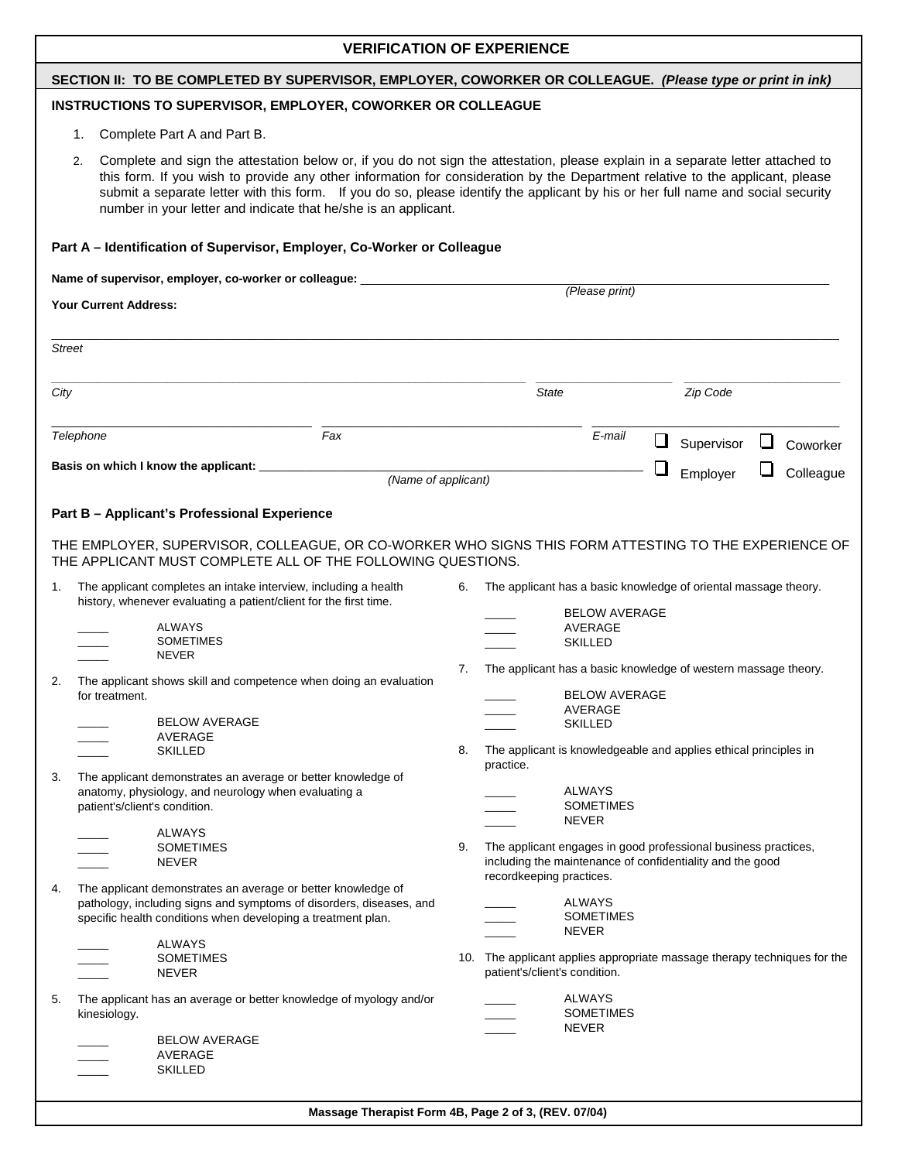## **VERIFICATION OF EXPERIENCE**

### **SECTION II: TO BE COMPLETED BY SUPERVISOR, EMPLOYER, COWORKER OR COLLEAGUE.** *(Please type or print in ink)*

## **INSTRUCTIONS TO SUPERVISOR, EMPLOYER, COWORKER OR COLLEAGUE**

- 1. Complete Part A and Part B.
- 2. Complete and sign the attestation below or, if you do not sign the attestation, please explain in a separate letter attached to this form. If you wish to provide any other information for consideration by the Department relative to the applicant, please submit a separate letter with this form. If you do so, please identify the applicant by his or her full name and social security number in your letter and indicate that he/she is an applicant.

| Part A - Identification of Supervisor, Employer, Co-Worker or Colleague                                   |                                                                                                                                                                                                     |                     |                                                                                                                                                         |                                                   |                          |            |   |           |
|-----------------------------------------------------------------------------------------------------------|-----------------------------------------------------------------------------------------------------------------------------------------------------------------------------------------------------|---------------------|---------------------------------------------------------------------------------------------------------------------------------------------------------|---------------------------------------------------|--------------------------|------------|---|-----------|
| Name of supervisor, employer, co-worker or colleague: __________________________<br>Your Current Address: |                                                                                                                                                                                                     |                     | (Please print)                                                                                                                                          |                                                   |                          |            |   |           |
|                                                                                                           |                                                                                                                                                                                                     |                     |                                                                                                                                                         |                                                   |                          |            |   |           |
| <b>Street</b>                                                                                             |                                                                                                                                                                                                     |                     |                                                                                                                                                         |                                                   |                          |            |   |           |
| City                                                                                                      |                                                                                                                                                                                                     |                     | State                                                                                                                                                   |                                                   |                          | Zip Code   |   |           |
|                                                                                                           | Fax<br>Telephone                                                                                                                                                                                    |                     |                                                                                                                                                         | E-mail                                            | ⊔                        | Supervisor | ப | Coworker  |
|                                                                                                           |                                                                                                                                                                                                     | (Name of applicant) |                                                                                                                                                         |                                                   | $\overline{\phantom{a}}$ | Employer   |   | Colleague |
|                                                                                                           | Part B - Applicant's Professional Experience                                                                                                                                                        |                     |                                                                                                                                                         |                                                   |                          |            |   |           |
|                                                                                                           | THE EMPLOYER, SUPERVISOR, COLLEAGUE, OR CO-WORKER WHO SIGNS THIS FORM ATTESTING TO THE EXPERIENCE OF<br>THE APPLICANT MUST COMPLETE ALL OF THE FOLLOWING QUESTIONS.                                 |                     |                                                                                                                                                         |                                                   |                          |            |   |           |
| 1.                                                                                                        | The applicant completes an intake interview, including a health<br>history, whenever evaluating a patient/client for the first time.                                                                | 6.                  | The applicant has a basic knowledge of oriental massage theory.                                                                                         |                                                   |                          |            |   |           |
|                                                                                                           | <b>ALWAYS</b><br><b>SOMETIMES</b><br><b>NEVER</b>                                                                                                                                                   |                     |                                                                                                                                                         | <b>BELOW AVERAGE</b><br>AVERAGE<br><b>SKILLED</b> |                          |            |   |           |
| 2.                                                                                                        | The applicant shows skill and competence when doing an evaluation<br>for treatment.                                                                                                                 | 7.                  | The applicant has a basic knowledge of western massage theory.<br><b>BELOW AVERAGE</b><br>AVERAGE                                                       |                                                   |                          |            |   |           |
|                                                                                                           | <b>BELOW AVERAGE</b><br>AVERAGE<br><b>SKILLED</b>                                                                                                                                                   | 8.                  | The applicant is knowledgeable and applies ethical principles in                                                                                        | <b>SKILLED</b>                                    |                          |            |   |           |
| 3.                                                                                                        | The applicant demonstrates an average or better knowledge of                                                                                                                                        |                     | practice.                                                                                                                                               |                                                   |                          |            |   |           |
|                                                                                                           | anatomy, physiology, and neurology when evaluating a<br>patient's/client's condition.                                                                                                               |                     |                                                                                                                                                         | <b>ALWAYS</b><br><b>SOMETIMES</b><br><b>NEVER</b> |                          |            |   |           |
|                                                                                                           | ALWAYS<br><b>SOMETIMES</b><br><b>NEVER</b>                                                                                                                                                          | 9.                  | The applicant engages in good professional business practices,<br>including the maintenance of confidentiality and the good<br>recordkeeping practices. |                                                   |                          |            |   |           |
| 4.                                                                                                        | The applicant demonstrates an average or better knowledge of<br>pathology, including signs and symptoms of disorders, diseases, and<br>specific health conditions when developing a treatment plan. |                     |                                                                                                                                                         | <b>ALWAYS</b><br><b>SOMETIMES</b><br><b>NEVER</b> |                          |            |   |           |
|                                                                                                           | <b>ALWAYS</b><br><b>SOMETIMES</b><br><b>NEVER</b>                                                                                                                                                   |                     | 10. The applicant applies appropriate massage therapy techniques for the<br>patient's/client's condition.                                               |                                                   |                          |            |   |           |
| 5.                                                                                                        | The applicant has an average or better knowledge of myology and/or<br>kinesiology.<br><b>BELOW AVERAGE</b>                                                                                          |                     |                                                                                                                                                         | ALWAYS<br><b>SOMETIMES</b><br><b>NEVER</b>        |                          |            |   |           |
|                                                                                                           | <b>AVERAGE</b><br><b>SKILLED</b>                                                                                                                                                                    |                     |                                                                                                                                                         |                                                   |                          |            |   |           |